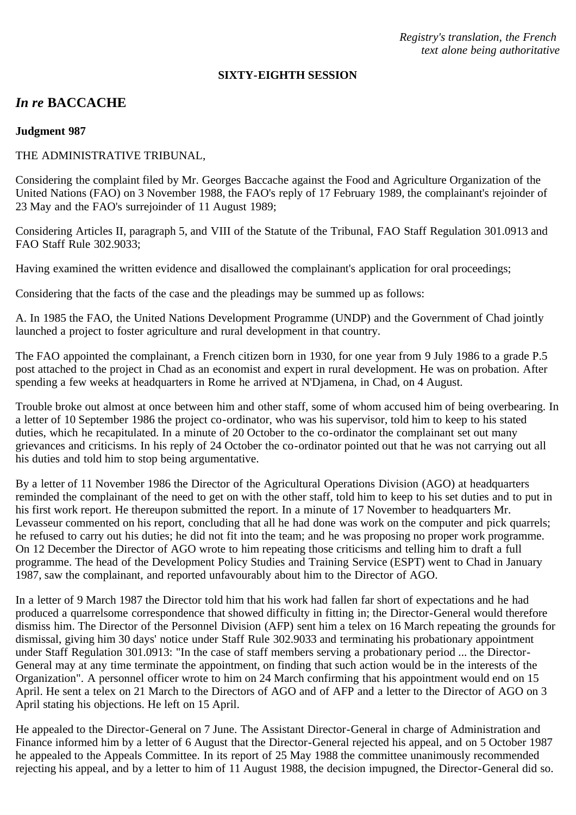*Registry's translation, the French text alone being authoritative*

#### **SIXTY-EIGHTH SESSION**

# *In re* **BACCACHE**

#### **Judgment 987**

### THE ADMINISTRATIVE TRIBUNAL,

Considering the complaint filed by Mr. Georges Baccache against the Food and Agriculture Organization of the United Nations (FAO) on 3 November 1988, the FAO's reply of 17 February 1989, the complainant's rejoinder of 23 May and the FAO's surrejoinder of 11 August 1989;

Considering Articles II, paragraph 5, and VIII of the Statute of the Tribunal, FAO Staff Regulation 301.0913 and FAO Staff Rule 302.9033;

Having examined the written evidence and disallowed the complainant's application for oral proceedings;

Considering that the facts of the case and the pleadings may be summed up as follows:

A. In 1985 the FAO, the United Nations Development Programme (UNDP) and the Government of Chad jointly launched a project to foster agriculture and rural development in that country.

The FAO appointed the complainant, a French citizen born in 1930, for one year from 9 July 1986 to a grade P.5 post attached to the project in Chad as an economist and expert in rural development. He was on probation. After spending a few weeks at headquarters in Rome he arrived at N'Djamena, in Chad, on 4 August.

Trouble broke out almost at once between him and other staff, some of whom accused him of being overbearing. In a letter of 10 September 1986 the project co-ordinator, who was his supervisor, told him to keep to his stated duties, which he recapitulated. In a minute of 20 October to the co-ordinator the complainant set out many grievances and criticisms. In his reply of 24 October the co-ordinator pointed out that he was not carrying out all his duties and told him to stop being argumentative.

By a letter of 11 November 1986 the Director of the Agricultural Operations Division (AGO) at headquarters reminded the complainant of the need to get on with the other staff, told him to keep to his set duties and to put in his first work report. He thereupon submitted the report. In a minute of 17 November to headquarters Mr. Levasseur commented on his report, concluding that all he had done was work on the computer and pick quarrels; he refused to carry out his duties; he did not fit into the team; and he was proposing no proper work programme. On 12 December the Director of AGO wrote to him repeating those criticisms and telling him to draft a full programme. The head of the Development Policy Studies and Training Service (ESPT) went to Chad in January 1987, saw the complainant, and reported unfavourably about him to the Director of AGO.

In a letter of 9 March 1987 the Director told him that his work had fallen far short of expectations and he had produced a quarrelsome correspondence that showed difficulty in fitting in; the Director-General would therefore dismiss him. The Director of the Personnel Division (AFP) sent him a telex on 16 March repeating the grounds for dismissal, giving him 30 days' notice under Staff Rule 302.9033 and terminating his probationary appointment under Staff Regulation 301.0913: "In the case of staff members serving a probationary period ... the Director-General may at any time terminate the appointment, on finding that such action would be in the interests of the Organization". A personnel officer wrote to him on 24 March confirming that his appointment would end on 15 April. He sent a telex on 21 March to the Directors of AGO and of AFP and a letter to the Director of AGO on 3 April stating his objections. He left on 15 April.

He appealed to the Director-General on 7 June. The Assistant Director-General in charge of Administration and Finance informed him by a letter of 6 August that the Director-General rejected his appeal, and on 5 October 1987 he appealed to the Appeals Committee. In its report of 25 May 1988 the committee unanimously recommended rejecting his appeal, and by a letter to him of 11 August 1988, the decision impugned, the Director-General did so.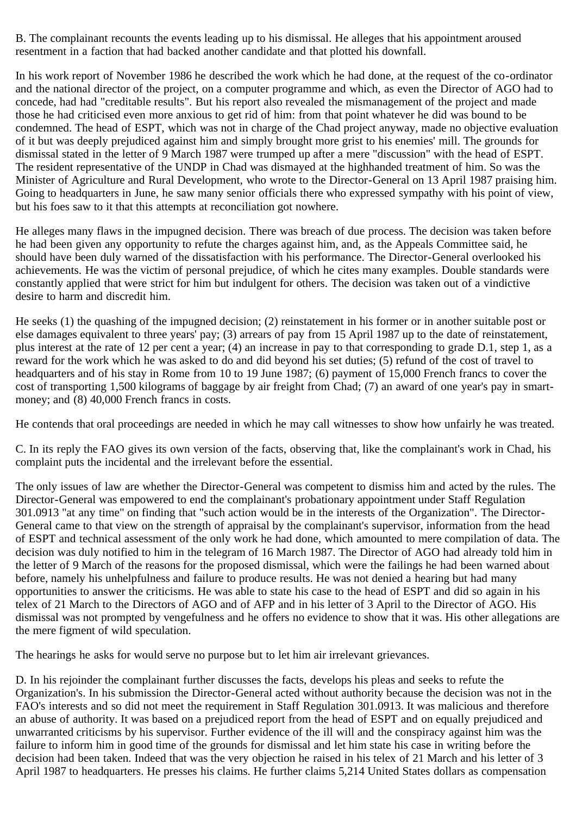B. The complainant recounts the events leading up to his dismissal. He alleges that his appointment aroused resentment in a faction that had backed another candidate and that plotted his downfall.

In his work report of November 1986 he described the work which he had done, at the request of the co-ordinator and the national director of the project, on a computer programme and which, as even the Director of AGO had to concede, had had "creditable results". But his report also revealed the mismanagement of the project and made those he had criticised even more anxious to get rid of him: from that point whatever he did was bound to be condemned. The head of ESPT, which was not in charge of the Chad project anyway, made no objective evaluation of it but was deeply prejudiced against him and simply brought more grist to his enemies' mill. The grounds for dismissal stated in the letter of 9 March 1987 were trumped up after a mere "discussion" with the head of ESPT. The resident representative of the UNDP in Chad was dismayed at the highhanded treatment of him. So was the Minister of Agriculture and Rural Development, who wrote to the Director-General on 13 April 1987 praising him. Going to headquarters in June, he saw many senior officials there who expressed sympathy with his point of view, but his foes saw to it that this attempts at reconciliation got nowhere.

He alleges many flaws in the impugned decision. There was breach of due process. The decision was taken before he had been given any opportunity to refute the charges against him, and, as the Appeals Committee said, he should have been duly warned of the dissatisfaction with his performance. The Director-General overlooked his achievements. He was the victim of personal prejudice, of which he cites many examples. Double standards were constantly applied that were strict for him but indulgent for others. The decision was taken out of a vindictive desire to harm and discredit him.

He seeks (1) the quashing of the impugned decision; (2) reinstatement in his former or in another suitable post or else damages equivalent to three years' pay; (3) arrears of pay from 15 April 1987 up to the date of reinstatement, plus interest at the rate of 12 per cent a year; (4) an increase in pay to that corresponding to grade D.1, step 1, as a reward for the work which he was asked to do and did beyond his set duties; (5) refund of the cost of travel to headquarters and of his stay in Rome from 10 to 19 June 1987; (6) payment of 15,000 French francs to cover the cost of transporting 1,500 kilograms of baggage by air freight from Chad; (7) an award of one year's pay in smartmoney; and (8) 40,000 French francs in costs.

He contends that oral proceedings are needed in which he may call witnesses to show how unfairly he was treated.

C. In its reply the FAO gives its own version of the facts, observing that, like the complainant's work in Chad, his complaint puts the incidental and the irrelevant before the essential.

The only issues of law are whether the Director-General was competent to dismiss him and acted by the rules. The Director-General was empowered to end the complainant's probationary appointment under Staff Regulation 301.0913 "at any time" on finding that "such action would be in the interests of the Organization". The Director-General came to that view on the strength of appraisal by the complainant's supervisor, information from the head of ESPT and technical assessment of the only work he had done, which amounted to mere compilation of data. The decision was duly notified to him in the telegram of 16 March 1987. The Director of AGO had already told him in the letter of 9 March of the reasons for the proposed dismissal, which were the failings he had been warned about before, namely his unhelpfulness and failure to produce results. He was not denied a hearing but had many opportunities to answer the criticisms. He was able to state his case to the head of ESPT and did so again in his telex of 21 March to the Directors of AGO and of AFP and in his letter of 3 April to the Director of AGO. His dismissal was not prompted by vengefulness and he offers no evidence to show that it was. His other allegations are the mere figment of wild speculation.

The hearings he asks for would serve no purpose but to let him air irrelevant grievances.

D. In his rejoinder the complainant further discusses the facts, develops his pleas and seeks to refute the Organization's. In his submission the Director-General acted without authority because the decision was not in the FAO's interests and so did not meet the requirement in Staff Regulation 301.0913. It was malicious and therefore an abuse of authority. It was based on a prejudiced report from the head of ESPT and on equally prejudiced and unwarranted criticisms by his supervisor. Further evidence of the ill will and the conspiracy against him was the failure to inform him in good time of the grounds for dismissal and let him state his case in writing before the decision had been taken. Indeed that was the very objection he raised in his telex of 21 March and his letter of 3 April 1987 to headquarters. He presses his claims. He further claims 5,214 United States dollars as compensation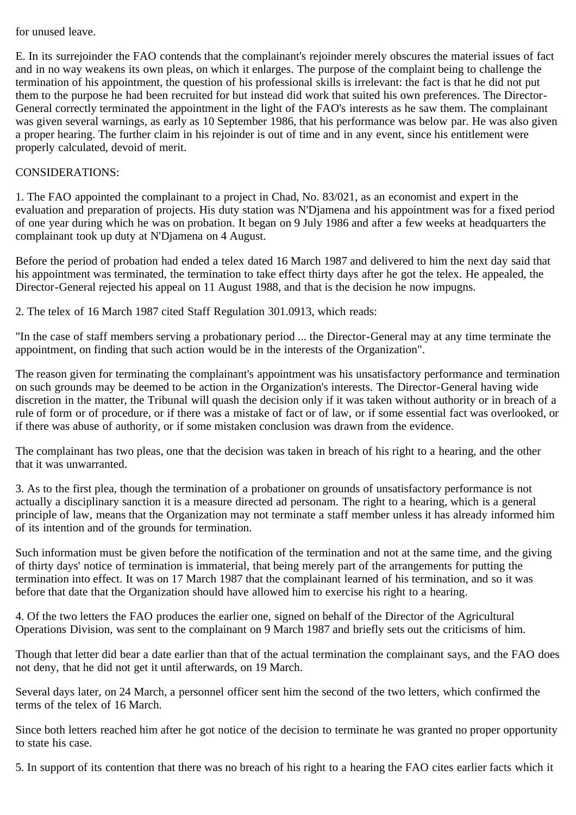## for unused leave.

E. In its surrejoinder the FAO contends that the complainant's rejoinder merely obscures the material issues of fact and in no way weakens its own pleas, on which it enlarges. The purpose of the complaint being to challenge the termination of his appointment, the question of his professional skills is irrelevant: the fact is that he did not put them to the purpose he had been recruited for but instead did work that suited his own preferences. The Director-General correctly terminated the appointment in the light of the FAO's interests as he saw them. The complainant was given several warnings, as early as 10 September 1986, that his performance was below par. He was also given a proper hearing. The further claim in his rejoinder is out of time and in any event, since his entitlement were properly calculated, devoid of merit.

## CONSIDERATIONS:

1. The FAO appointed the complainant to a project in Chad, No. 83/021, as an economist and expert in the evaluation and preparation of projects. His duty station was N'Djamena and his appointment was for a fixed period of one year during which he was on probation. It began on 9 July 1986 and after a few weeks at headquarters the complainant took up duty at N'Djamena on 4 August.

Before the period of probation had ended a telex dated 16 March 1987 and delivered to him the next day said that his appointment was terminated, the termination to take effect thirty days after he got the telex. He appealed, the Director-General rejected his appeal on 11 August 1988, and that is the decision he now impugns.

2. The telex of 16 March 1987 cited Staff Regulation 301.0913, which reads:

"In the case of staff members serving a probationary period ... the Director-General may at any time terminate the appointment, on finding that such action would be in the interests of the Organization".

The reason given for terminating the complainant's appointment was his unsatisfactory performance and termination on such grounds may be deemed to be action in the Organization's interests. The Director-General having wide discretion in the matter, the Tribunal will quash the decision only if it was taken without authority or in breach of a rule of form or of procedure, or if there was a mistake of fact or of law, or if some essential fact was overlooked, or if there was abuse of authority, or if some mistaken conclusion was drawn from the evidence.

The complainant has two pleas, one that the decision was taken in breach of his right to a hearing, and the other that it was unwarranted.

3. As to the first plea, though the termination of a probationer on grounds of unsatisfactory performance is not actually a disciplinary sanction it is a measure directed ad personam. The right to a hearing, which is a general principle of law, means that the Organization may not terminate a staff member unless it has already informed him of its intention and of the grounds for termination.

Such information must be given before the notification of the termination and not at the same time, and the giving of thirty days' notice of termination is immaterial, that being merely part of the arrangements for putting the termination into effect. It was on 17 March 1987 that the complainant learned of his termination, and so it was before that date that the Organization should have allowed him to exercise his right to a hearing.

4. Of the two letters the FAO produces the earlier one, signed on behalf of the Director of the Agricultural Operations Division, was sent to the complainant on 9 March 1987 and briefly sets out the criticisms of him.

Though that letter did bear a date earlier than that of the actual termination the complainant says, and the FAO does not deny, that he did not get it until afterwards, on 19 March.

Several days later, on 24 March, a personnel officer sent him the second of the two letters, which confirmed the terms of the telex of 16 March.

Since both letters reached him after he got notice of the decision to terminate he was granted no proper opportunity to state his case.

5. In support of its contention that there was no breach of his right to a hearing the FAO cites earlier facts which it